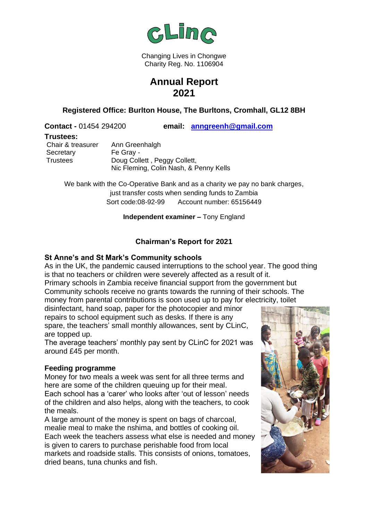

Changing Lives in Chongwe Charity Reg. No. 1106904

# **Annual Report 2021**

**Registered Office: Burlton House, The Burltons, Cromhall, GL12 8BH**

**Contact -** 01454 294200 **email: [anngreenh@gmail.com](mailto:anngreenh@gmail.com)**

#### **Trustees:**

Secretary Fe Gray -

Chair & treasurer Ann Greenhalgh Trustees Doug Collett , Peggy Collett, Nic Fleming, Colin Nash, & Penny Kells

We bank with the Co-Operative Bank and as a charity we pay no bank charges, just transfer costs when sending funds to Zambia Sort code:08-92-99 Account number: 65156449

#### **Independent examiner –** Tony England

# **Chairman's Report for 2021**

### **St Anne's and St Mark's Community schools**

As in the UK, the pandemic caused interruptions to the school year. The good thing is that no teachers or children were severely affected as a result of it.

Primary schools in Zambia receive financial support from the government but Community schools receive no grants towards the running of their schools. The money from parental contributions is soon used up to pay for electricity, toilet

disinfectant, hand soap, paper for the photocopier and minor repairs to school equipment such as desks. If there is any spare, the teachers' small monthly allowances, sent by CLinC, are topped up.

The average teachers' monthly pay sent by CLinC for 2021 was around £45 per month.

# **Feeding programme**

Money for two meals a week was sent for all three terms and here are some of the children queuing up for their meal. Each school has a 'carer' who looks after 'out of lesson' needs of the children and also helps, along with the teachers, to cook the meals.

A large amount of the money is spent on bags of charcoal, mealie meal to make the nshima, and bottles of cooking oil. Each week the teachers assess what else is needed and money is given to carers to purchase perishable food from local markets and roadside stalls. This consists of onions, tomatoes, dried beans, tuna chunks and fish.

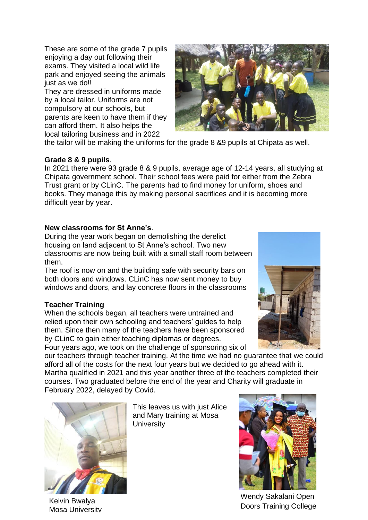These are some of the grade 7 pupils enjoying a day out following their exams. They visited a local wild life park and enjoyed seeing the animals just as we do!!

They are dressed in uniforms made by a local tailor. Uniforms are not compulsory at our schools, but parents are keen to have them if they can afford them. It also helps the local tailoring business and in 2022



the tailor will be making the uniforms for the grade 8 &9 pupils at Chipata as well.

### **Grade 8 & 9 pupils**.

In 2021 there were 93 grade 8 & 9 pupils, average age of 12-14 years, all studying at Chipata government school. Their school fees were paid for either from the Zebra Trust grant or by CLinC. The parents had to find money for uniform, shoes and books. They manage this by making personal sacrifices and it is becoming more difficult year by year.

### **New classrooms for St Anne's**.

During the year work began on demolishing the derelict housing on land adjacent to St Anne's school. Two new classrooms are now being built with a small staff room between them.

The roof is now on and the building safe with security bars on both doors and windows. CLinC has now sent money to buy windows and doors, and lay concrete floors in the classrooms

# **Teacher Training**

When the schools began, all teachers were untrained and relied upon their own schooling and teachers' guides to help them. Since then many of the teachers have been sponsored by CLinC to gain either teaching diplomas or degrees.

Four years ago, we took on the challenge of sponsoring six of



our teachers through teacher training. At the time we had no guarantee that we could afford all of the costs for the next four years but we decided to go ahead with it. Martha qualified in 2021 and this year another three of the teachers completed their courses. Two graduated before the end of the year and Charity will graduate in February 2022, delayed by Covid.



Kelvin Bwalya Mosa University

This leaves us with just Alice and Mary training at Mosa **University** 



Wendy Sakalani Open Doors Training College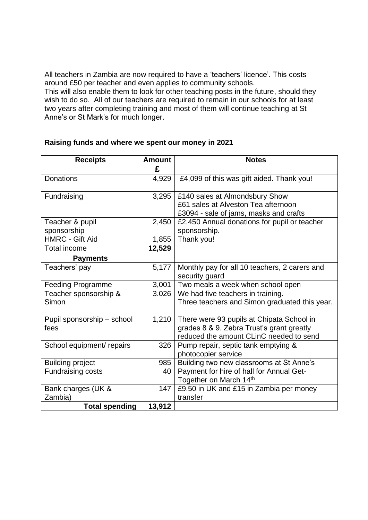All teachers in Zambia are now required to have a 'teachers' licence'. This costs around £50 per teacher and even applies to community schools.

This will also enable them to look for other teaching posts in the future, should they wish to do so. All of our teachers are required to remain in our schools for at least two years after completing training and most of them will continue teaching at St Anne's or St Mark's for much longer.

| <b>Receipts</b>            | <b>Amount</b> | <b>Notes</b>                                  |
|----------------------------|---------------|-----------------------------------------------|
|                            | £             |                                               |
| <b>Donations</b>           | 4,929         | £4,099 of this was gift aided. Thank you!     |
| Fundraising                | 3,295         | £140 sales at Almondsbury Show                |
|                            |               | £61 sales at Alveston Tea afternoon           |
|                            |               | £3094 - sale of jams, masks and crafts        |
| Teacher & pupil            | 2,450         | £2,450 Annual donations for pupil or teacher  |
| sponsorship                |               | sponsorship.                                  |
| <b>HMRC - Gift Aid</b>     | 1,855         | Thank you!                                    |
| <b>Total income</b>        | 12,529        |                                               |
| <b>Payments</b>            |               |                                               |
| Teachers' pay              | 5,177         | Monthly pay for all 10 teachers, 2 carers and |
|                            |               | security guard                                |
| <b>Feeding Programme</b>   | 3,001         | Two meals a week when school open             |
| Teacher sponsorship &      | 3.026         | We had five teachers in training.             |
| Simon                      |               | Three teachers and Simon graduated this year. |
|                            |               |                                               |
| Pupil sponsorship - school | 1,210         | There were 93 pupils at Chipata School in     |
| fees                       |               | grades 8 & 9. Zebra Trust's grant greatly     |
|                            |               | reduced the amount CLinC needed to send       |
| School equipment/ repairs  | 326           | Pump repair, septic tank emptying &           |
|                            |               | photocopier service                           |
| <b>Building project</b>    | 985           | Building two new classrooms at St Anne's      |
| Fundraising costs          | 40            | Payment for hire of hall for Annual Get-      |
|                            |               | Together on March 14th                        |
| Bank charges (UK &         | 147           | £9.50 in UK and £15 in Zambia per money       |
| Zambia)                    |               | transfer                                      |
| <b>Total spending</b>      | 13,912        |                                               |

### **Raising funds and where we spent our money in 2021**